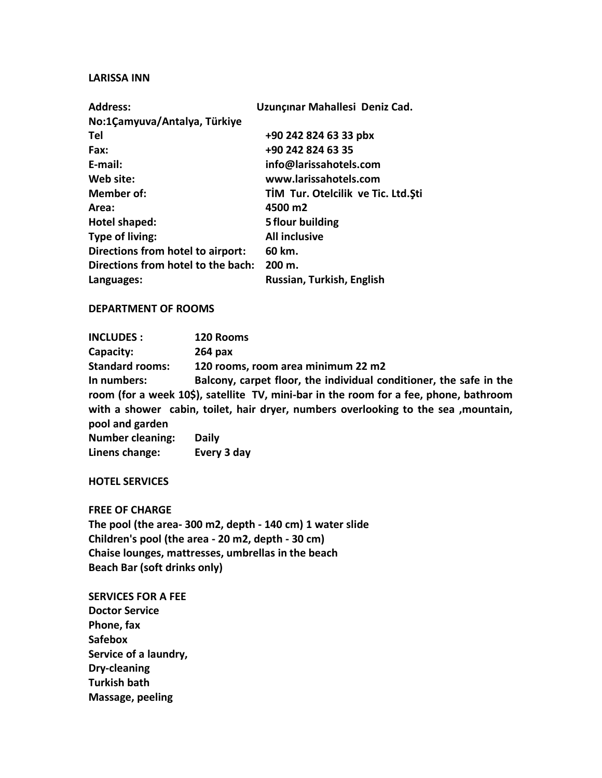### **LARISSA INN**

| <b>Address:</b>                    | Uzunçınar Mahallesi Deniz Cad.       |
|------------------------------------|--------------------------------------|
| No:1 Çamyuva / Antalya, Türkiye    |                                      |
| Tel                                | +90 242 824 63 33 pbx                |
| Fax:                               | +90 242 824 63 35                    |
| E-mail:                            | info@larissahotels.com               |
| Web site:                          | www.larissahotels.com                |
| Member of:                         | TIM Tur. Otelcilik ve Tic. Ltd. \$ti |
| Area:                              | 4500 m2                              |
| Hotel shaped:                      | 5 flour building                     |
| Type of living:                    | <b>All inclusive</b>                 |
| Directions from hotel to airport:  | 60 km.                               |
| Directions from hotel to the bach: | 200 m.                               |
| Languages:                         | Russian, Turkish, English            |

## **DEPARTMENT OF ROOMS**

**INCLUDES : 120 Rooms Capacity: 264 pax Standard rooms: 120 rooms, room area minimum 22 m2 In numbers: Balcony, carpet floor, the individual conditioner, the safe in the room (for a week 10\$), satellite TV, mini-bar in the room for a fee, phone, bathroom with a shower cabin, toilet, hair dryer, numbers overlooking to the sea ,mountain, pool and garden Number cleaning: Daily Linens change: Every 3 day** 

**HOTEL SERVICES**

**FREE OF CHARGE**

**The pool (the area- 300 m2, depth - 140 cm) 1 water slide Children's pool (the area - 20 m2, depth - 30 cm) Chaise lounges, mattresses, umbrellas in the beach Beach Bar (soft drinks only)** 

**SERVICES FOR A FEE Doctor Service Phone, fax Safebox Service of a laundry, Dry-cleaning Turkish bath Massage, peeling**